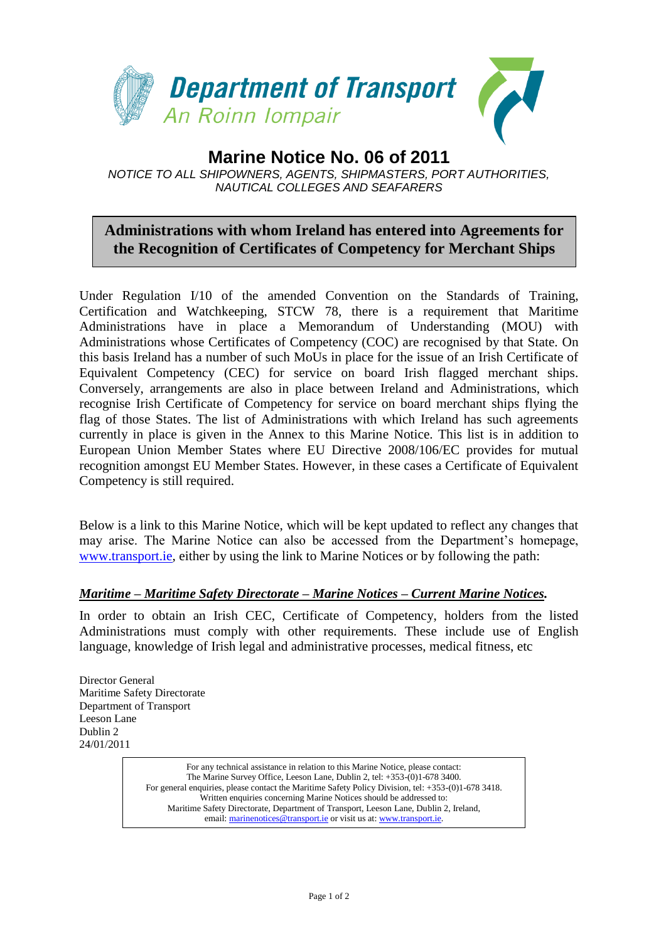

## **Marine Notice No. 06 of 2011** *NOTICE TO ALL SHIPOWNERS, AGENTS, SHIPMASTERS, PORT AUTHORITIES, NAUTICAL COLLEGES AND SEAFARERS*

## **Administrations with whom Ireland has entered into Agreements for the Recognition of Certificates of Competency for Merchant Ships**

Under Regulation I/10 of the amended Convention on the Standards of Training, Certification and Watchkeeping, STCW 78, there is a requirement that Maritime Administrations have in place a Memorandum of Understanding (MOU) with Administrations whose Certificates of Competency (COC) are recognised by that State. On this basis Ireland has a number of such MoUs in place for the issue of an Irish Certificate of Equivalent Competency (CEC) for service on board Irish flagged merchant ships. Conversely, arrangements are also in place between Ireland and Administrations, which recognise Irish Certificate of Competency for service on board merchant ships flying the flag of those States. The list of Administrations with which Ireland has such agreements currently in place is given in the Annex to this Marine Notice. This list is in addition to European Union Member States where EU Directive 2008/106/EC provides for mutual recognition amongst EU Member States. However, in these cases a Certificate of Equivalent Competency is still required.

Below is a link to this Marine Notice, which will be kept updated to reflect any changes that may arise. The Marine Notice can also be accessed from the Department's homepage, [www.transport.ie,](http://www.transport.ie/) either by using the link to Marine Notices or by following the path:

## *Maritime – Maritime Safety Directorate – Marine Notices – Current Marine Notices.*

In order to obtain an Irish CEC, Certificate of Competency, holders from the listed Administrations must comply with other requirements. These include use of English language, knowledge of Irish legal and administrative processes, medical fitness, etc

Director General Maritime Safety Directorate Department of Transport Leeson Lane Dublin 2 24/01/2011

> For general enquiries, please contact the Maritime Safety Policy Division, tel: +353-(0)1-678 3418.<br>Written enquiries concerning Marine Notices should be addressed to: For any technical assistance in relation to this Marine Notice, please contact: The Marine Survey Office, Leeson Lane, Dublin 2, tel: +353-(0)1-678 3400. Written enquiries concerning Marine Notices should be addressed to: Maritime Safety Directorate, Department of Transport, Leeson Lane, Dublin 2, Ireland, email: [marinenotices@transport.ie](mailto:marinenotices@transport.ie) or visit us at[: www.transport.ie.](http://www.transport.ie/)